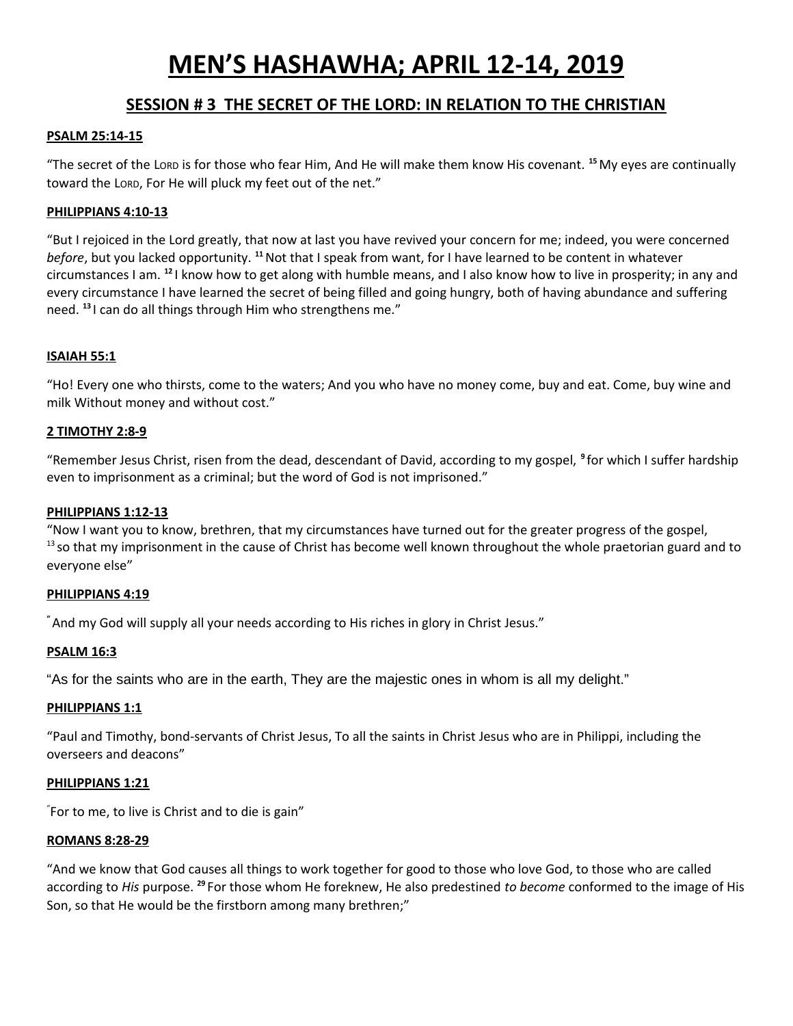# **MEN'S HASHAWHA; APRIL 12-14, 2019**

## **SESSION # 3 THE SECRET OF THE LORD: IN RELATION TO THE CHRISTIAN**

## **PSALM 25:14-15**

"The secret of the LORD is for those who fear Him, And He will make them know His covenant. **<sup>15</sup>**My eyes are continually toward the LORD, For He will pluck my feet out of the net."

## **PHILIPPIANS 4:10-13**

"But I rejoiced in the Lord greatly, that now at last you have revived your concern for me; indeed, you were concerned *before*, but you lacked opportunity. **<sup>11</sup>**Not that I speak from want, for I have learned to be content in whatever circumstances I am. **<sup>12</sup>** I know how to get along with humble means, and I also know how to live in prosperity; in any and every circumstance I have learned the secret of being filled and going hungry, both of having abundance and suffering need. **<sup>13</sup>** I can do all things through Him who strengthens me."

## **ISAIAH 55:1**

"Ho! Every one who thirsts, come to the waters; And you who have no money come, buy and eat. Come, buy wine and milk Without money and without cost."

## **2 TIMOTHY 2:8-9**

"Remember Jesus Christ, risen from the dead, descendant of David, according to my gospel, **<sup>9</sup>** for which I suffer hardship even to imprisonment as a criminal; but the word of God is not imprisoned."

## **PHILIPPIANS 1:12-13**

"Now I want you to know, brethren, that my circumstances have turned out for the greater progress of the gospel,  $13$  so that my imprisonment in the cause of Christ has become well known throughout the whole praetorian guard and to everyone else"

## **PHILIPPIANS 4:19**

**"**And my God will supply all your needs according to His riches in glory in Christ Jesus."

## **PSALM 16:3**

"As for the saints who are in the earth, They are the majestic ones in whom is all my delight."

#### **PHILIPPIANS 1:1**

"Paul and Timothy, bond-servants of Christ Jesus, To all the saints in Christ Jesus who are in Philippi, including the overseers and deacons"

#### **PHILIPPIANS 1:21**

" For to me, to live is Christ and to die is gain"

#### **ROMANS 8:28-29**

"And we know that God causes all things to work together for good to those who love God, to those who are called according to *His* purpose. **<sup>29</sup>** For those whom He foreknew, He also predestined *to become* conformed to the image of His Son, so that He would be the firstborn among many brethren;"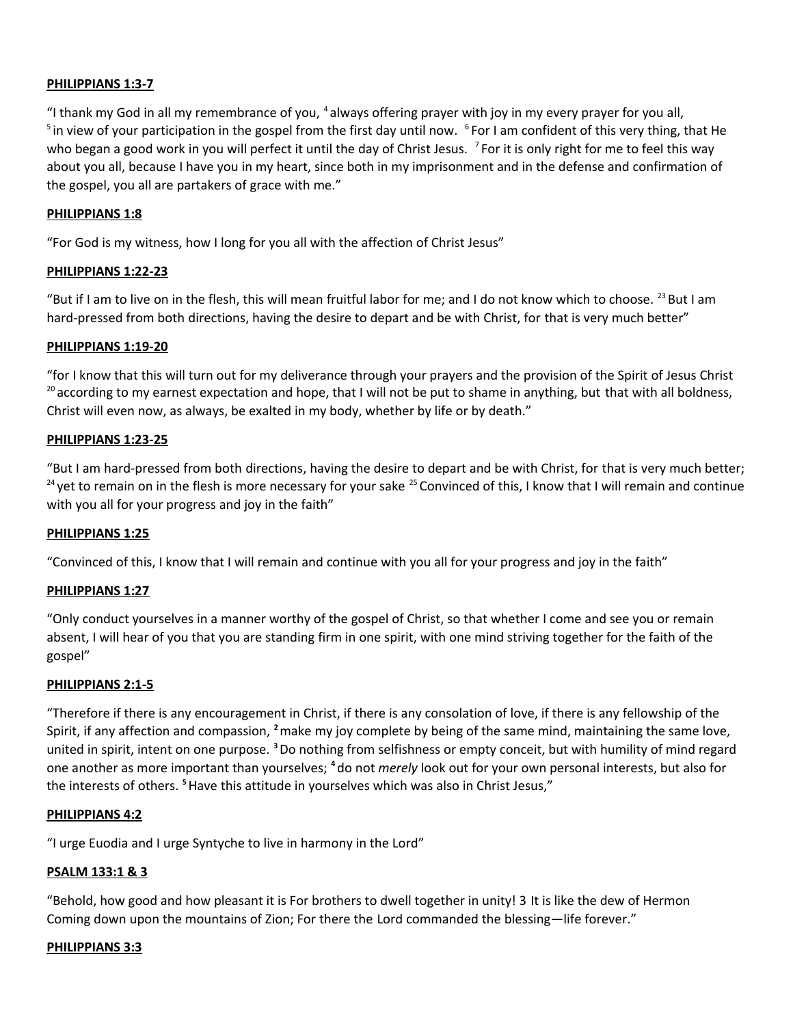## **PHILIPPIANS 1:3-7**

"I thank my God in all my remembrance of you, <sup>4</sup> always offering prayer with joy in my every prayer for you all, <sup>5</sup> in view of your participation in the gospel from the first day until now. <sup>6</sup> For I am confident of this very thing, that He who began a good work in you will perfect it until the day of Christ Jesus. <sup>7</sup> For it is only right for me to feel this way about you all, because I have you in my heart, since both in my imprisonment and in the defense and confirmation of the gospel, you all are partakers of grace with me."

#### **PHILIPPIANS 1:8**

"For God is my witness, how I long for you all with the affection of Christ Jesus"

#### **PHILIPPIANS 1:22-23**

"But if I am to live on in the flesh, this will mean fruitful labor for me; and I do not know which to choose.  $^{23}$  But I am hard-pressed from both directions, having the desire to depart and be with Christ, for that is very much better"

#### **PHILIPPIANS 1:19-20**

"for I know that this will turn out for my deliverance through your prayers and the provision of the Spirit of Jesus Christ  $20$  according to my earnest expectation and hope, that I will not be put to shame in anything, but that with all boldness, Christ will even now, as always, be exalted in my body, whether by life or by death."

#### **PHILIPPIANS 1:23-25**

"But I am hard-pressed from both directions, having the desire to depart and be with Christ, for that is very much better; <sup>24</sup> yet to remain on in the flesh is more necessary for your sake <sup>25</sup> Convinced of this, I know that I will remain and continue with you all for your progress and joy in the faith"

#### **PHILIPPIANS 1:25**

"Convinced of this, I know that I will remain and continue with you all for your progress and joy in the faith"

## **PHILIPPIANS 1:27**

"Only conduct yourselves in a manner worthy of the gospel of Christ, so that whether I come and see you or remain absent, I will hear of you that you are standing firm in one spirit, with one mind striving together for the faith of the gospel"

#### **PHILIPPIANS 2:1-5**

"Therefore if there is any encouragement in Christ, if there is any consolation of love, if there is any fellowship of the Spirit, if any affection and compassion, **<sup>2</sup>**make my joy complete by being of the same mind, maintaining the same love, united in spirit, intent on one purpose. **<sup>3</sup>**Do nothing from selfishness or empty conceit, but with humility of mind regard one another as more important than yourselves; **<sup>4</sup>** do not *merely* look out for your own personal interests, but also for the interests of others. **<sup>5</sup>**Have this attitude in yourselves which was also in Christ Jesus,"

#### **PHILIPPIANS 4:2**

"I urge Euodia and I urge Syntyche to live in harmony in the Lord"

#### **PSALM 133:1 & 3**

"Behold, how good and how pleasant it is For brothers to dwell together in unity! 3 It is like the dew of Hermon Coming down upon the mountains of Zion; For there the Lord commanded the blessing—life forever."

#### **PHILIPPIANS 3:3**